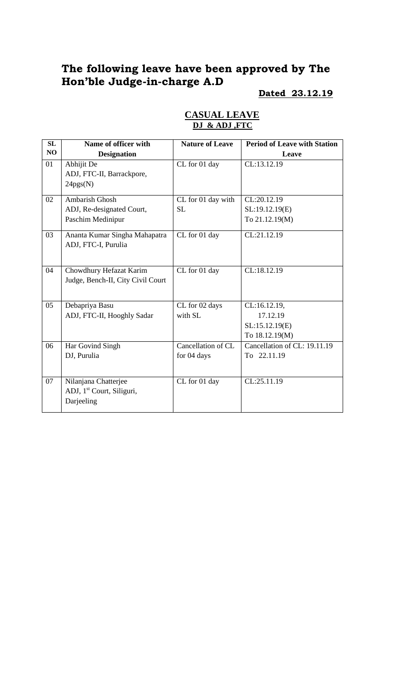# **The following leave have been approved by The Hon'ble Judge-in-charge A.D**

# **Dated 23.12.19**

| SL | Name of officer with                  | <b>Nature of Leave</b> | <b>Period of Leave with Station</b> |
|----|---------------------------------------|------------------------|-------------------------------------|
| NO | <b>Designation</b>                    |                        | Leave                               |
| 01 | Abhijit De                            | CL for 01 day          | CL:13.12.19                         |
|    | ADJ, FTC-II, Barrackpore,             |                        |                                     |
|    | 24pgs(N)                              |                        |                                     |
| 02 | <b>Ambarish Ghosh</b>                 | CL for 01 day with     | CL:20.12.19                         |
|    | ADJ, Re-designated Court,             | <b>SL</b>              | SL:19.12.19(E)                      |
|    | Paschim Medinipur                     |                        | To 21.12.19(M)                      |
| 03 | Ananta Kumar Singha Mahapatra         | CL for 01 day          | CL:21.12.19                         |
|    | ADJ, FTC-I, Purulia                   |                        |                                     |
|    |                                       |                        |                                     |
| 04 | Chowdhury Hefazat Karim               | CL for 01 day          | CL:18.12.19                         |
|    | Judge, Bench-II, City Civil Court     |                        |                                     |
|    |                                       |                        |                                     |
| 05 | Debapriya Basu                        | CL for 02 days         | CL:16.12.19,                        |
|    | ADJ, FTC-II, Hooghly Sadar            | with SL                | 17.12.19                            |
|    |                                       |                        | SL:15.12.19(E)                      |
|    |                                       |                        | To 18.12.19(M)                      |
| 06 | Har Govind Singh                      | Cancellation of CL     | Cancellation of CL: 19.11.19        |
|    | DJ, Purulia                           | for 04 days            | To 22.11.19                         |
|    |                                       |                        |                                     |
| 07 | Nilanjana Chatterjee                  | CL for 01 day          | CL:25.11.19                         |
|    | ADJ, 1 <sup>st</sup> Court, Siliguri, |                        |                                     |
|    | Darjeeling                            |                        |                                     |
|    |                                       |                        |                                     |

### **CASUAL LEAVE DJ & ADJ ,FTC**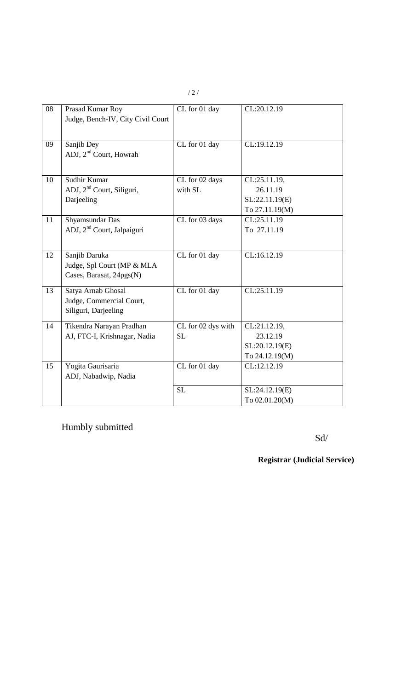| 08 | Prasad Kumar Roy                       | CL for 01 day      | CL:20.12.19    |
|----|----------------------------------------|--------------------|----------------|
|    |                                        |                    |                |
|    | Judge, Bench-IV, City Civil Court      |                    |                |
|    |                                        |                    |                |
| 09 | Sanjib Dey                             | CL for 01 day      | CL:19.12.19    |
|    | ADJ, 2 <sup>nd</sup> Court, Howrah     |                    |                |
|    |                                        |                    |                |
| 10 | Sudhir Kumar                           | CL for 02 days     | CL:25.11.19,   |
|    | ADJ, 2 <sup>nd</sup> Court, Siliguri,  | with SL            | 26.11.19       |
|    | Darjeeling                             |                    | SL:22.11.19(E) |
|    |                                        |                    | To 27.11.19(M) |
| 11 | Shyamsundar Das                        | CL for 03 days     | CL:25.11.19    |
|    | ADJ, 2 <sup>nd</sup> Court, Jalpaiguri |                    | To 27.11.19    |
|    |                                        |                    |                |
| 12 | Sanjib Daruka                          | CL for 01 day      | CL:16.12.19    |
|    | Judge, Spl Court (MP & MLA             |                    |                |
|    | Cases, Barasat, 24pgs(N)               |                    |                |
| 13 |                                        | $CL$ for 01 day    | CL:25.11.19    |
|    | Satya Arnab Ghosal                     |                    |                |
|    | Judge, Commercial Court,               |                    |                |
|    | Siliguri, Darjeeling                   |                    |                |
| 14 | Tikendra Narayan Pradhan               | CL for 02 dys with | CL:21.12.19,   |
|    | AJ, FTC-I, Krishnagar, Nadia           | <b>SL</b>          | 23.12.19       |
|    |                                        |                    | SL:20.12.19(E) |
|    |                                        |                    | To 24.12.19(M) |
| 15 | Yogita Gaurisaria                      | CL for 01 day      | CL:12.12.19    |
|    | ADJ, Nabadwip, Nadia                   |                    |                |
|    |                                        | <b>SL</b>          | SL:24.12.19(E) |
|    |                                        |                    | To 02.01.20(M) |

Humbly submitted

Sd/

**Registrar (Judicial Service)**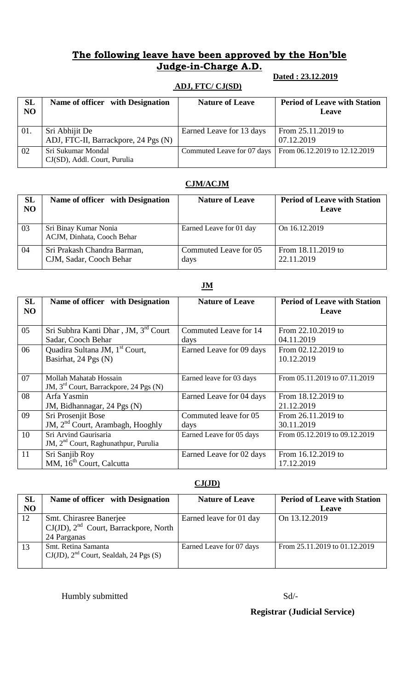## **The following leave have been approved by the Hon'ble Judge-in-Charge A.D.**

#### **Dated : 23.12.2019**

#### **ADJ, FTC/ CJ(SD)**

| <b>SL</b><br>N <sub>O</sub> | Name of officer with Designation                       | <b>Nature of Leave</b>     | <b>Period of Leave with Station</b><br>Leave |
|-----------------------------|--------------------------------------------------------|----------------------------|----------------------------------------------|
| 01.                         | Sri Abhijit De<br>ADJ, FTC-II, Barrackpore, 24 Pgs (N) | Earned Leave for 13 days   | From 25.11.2019 to<br>07.12.2019             |
| 02                          | Sri Sukumar Mondal<br>CJ(SD), Addl. Court, Purulia     | Commuted Leave for 07 days | From 06.12.2019 to 12.12.2019                |

#### **CJM/ACJM**

| <b>SL</b><br><b>NO</b> | Name of officer with Designation                       | <b>Nature of Leave</b>        | <b>Period of Leave with Station</b><br>Leave |
|------------------------|--------------------------------------------------------|-------------------------------|----------------------------------------------|
| 03                     | Sri Binay Kumar Nonia<br>ACJM, Dinhata, Cooch Behar    | Earned Leave for 01 day       | On 16.12.2019                                |
| 04                     | Sri Prakash Chandra Barman,<br>CJM, Sadar, Cooch Behar | Commuted Leave for 05<br>days | From 18.11.2019 to<br>22.11.2019             |

#### **JM**

| <b>SL</b><br>NO | Name of officer with Designation                   | <b>Nature of Leave</b>   | <b>Period of Leave with Station</b><br>Leave |
|-----------------|----------------------------------------------------|--------------------------|----------------------------------------------|
| 05              | Sri Subhra Kanti Dhar, JM, 3rd Court               | Commuted Leave for 14    | From 22.10.2019 to                           |
|                 | Sadar, Cooch Behar                                 | days                     | 04.11.2019                                   |
| 06              | Quadira Sultana JM, 1 <sup>st</sup> Court,         | Earned Leave for 09 days | From 02.12.2019 to                           |
|                 | Basirhat, 24 Pgs (N)                               |                          | 10.12.2019                                   |
| 07              | Mollah Mahatab Hossain                             | Earned leave for 03 days | From 05.11.2019 to 07.11.2019                |
|                 | JM, 3 <sup>rd</sup> Court, Barrackpore, 24 Pgs (N) |                          |                                              |
| 08              | Arfa Yasmin                                        | Earned Leave for 04 days | From 18.12.2019 to                           |
|                 | JM, Bidhannagar, 24 Pgs (N)                        |                          | 21.12.2019                                   |
| 09              | Sri Prosenjit Bose                                 | Commuted leave for 05    | From 26.11.2019 to                           |
|                 | JM, 2 <sup>nd</sup> Court, Arambagh, Hooghly       | days                     | 30.11.2019                                   |
| 10              | Sri Arvind Gaurisaria                              | Earned Leave for 05 days | From 05.12.2019 to 09.12.2019                |
|                 | JM, 2 <sup>nd</sup> Court, Raghunathpur, Purulia   |                          |                                              |
| 11              | Sri Sanjib Roy                                     | Earned Leave for 02 days | From 16.12.2019 to                           |
|                 | MM, 16 <sup>th</sup> Court, Calcutta               |                          | 17.12.2019                                   |

#### **CJ(JD)**

| SL<br>N <sub>O</sub> | Name of officer with Designation                                                     | <b>Nature of Leave</b>   | <b>Period of Leave with Station</b><br>Leave |
|----------------------|--------------------------------------------------------------------------------------|--------------------------|----------------------------------------------|
| 12                   | Smt. Chirasree Banerjee<br>$CJ(JD)$ , $2nd$ Court, Barrackpore, North<br>24 Parganas | Earned leave for 01 day  | On 13.12.2019                                |
| 13                   | Smt. Retina Samanta<br>$CJ(JD)$ , $2nd$ Court, Sealdah, 24 Pgs (S)                   | Earned Leave for 07 days | From 25.11.2019 to 01.12.2019                |

Humbly submitted Sd/-

 **Registrar (Judicial Service)**